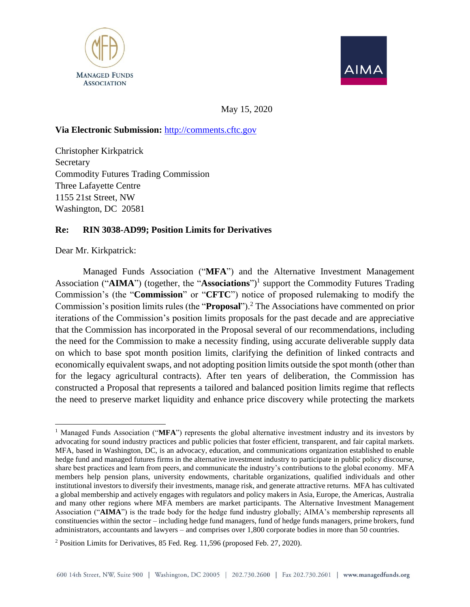



May 15, 2020

#### **Via Electronic Submission:** [http://comments.cftc.gov](http://comments.cftc.gov/)

Christopher Kirkpatrick Secretary Commodity Futures Trading Commission Three Lafayette Centre 1155 21st Street, NW Washington, DC 20581

#### **Re: RIN 3038-AD99; Position Limits for Derivatives**

Dear Mr. Kirkpatrick:

Managed Funds Association ("**MFA**") and the Alternative Investment Management Association ("**AIMA**") (together, the "**Associations**") 1 support the Commodity Futures Trading Commission's (the "**Commission**" or "**CFTC**") notice of proposed rulemaking to modify the Commission's position limits rules (the "**Proposal**").<sup>2</sup> The Associations have commented on prior iterations of the Commission's position limits proposals for the past decade and are appreciative that the Commission has incorporated in the Proposal several of our recommendations, including the need for the Commission to make a necessity finding, using accurate deliverable supply data on which to base spot month position limits, clarifying the definition of linked contracts and economically equivalent swaps, and not adopting position limits outside the spot month (other than for the legacy agricultural contracts). After ten years of deliberation, the Commission has constructed a Proposal that represents a tailored and balanced position limits regime that reflects the need to preserve market liquidity and enhance price discovery while protecting the markets

<sup>&</sup>lt;sup>1</sup> Managed Funds Association ("**MFA**") represents the global alternative investment industry and its investors by advocating for sound industry practices and public policies that foster efficient, transparent, and fair capital markets. MFA, based in Washington, DC, is an advocacy, education, and communications organization established to enable hedge fund and managed futures firms in the alternative investment industry to participate in public policy discourse, share best practices and learn from peers, and communicate the industry's contributions to the global economy. MFA members help pension plans, university endowments, charitable organizations, qualified individuals and other institutional investors to diversify their investments, manage risk, and generate attractive returns. MFA has cultivated a global membership and actively engages with regulators and policy makers in Asia, Europe, the Americas, Australia and many other regions where MFA members are market participants. The Alternative Investment Management Association ("**AIMA**") is the trade body for the hedge fund industry globally; AIMA's membership represents all constituencies within the sector – including hedge fund managers, fund of hedge funds managers, prime brokers, fund administrators, accountants and lawyers – and comprises over 1,800 corporate bodies in more than 50 countries.

<sup>2</sup> Position Limits for Derivatives, 85 Fed. Reg. 11,596 (proposed Feb. 27, 2020).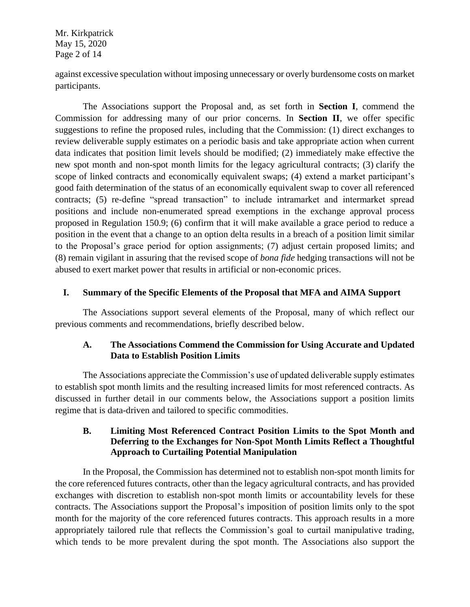Mr. Kirkpatrick May 15, 2020 Page 2 of 14

against excessive speculation without imposing unnecessary or overly burdensome costs on market participants.

The Associations support the Proposal and, as set forth in **Section I**, commend the Commission for addressing many of our prior concerns. In **Section II**, we offer specific suggestions to refine the proposed rules, including that the Commission: (1) direct exchanges to review deliverable supply estimates on a periodic basis and take appropriate action when current data indicates that position limit levels should be modified; (2) immediately make effective the new spot month and non-spot month limits for the legacy agricultural contracts; (3) clarify the scope of linked contracts and economically equivalent swaps; (4) extend a market participant's good faith determination of the status of an economically equivalent swap to cover all referenced contracts; (5) re-define "spread transaction" to include intramarket and intermarket spread positions and include non-enumerated spread exemptions in the exchange approval process proposed in Regulation 150.9; (6) confirm that it will make available a grace period to reduce a position in the event that a change to an option delta results in a breach of a position limit similar to the Proposal's grace period for option assignments; (7) adjust certain proposed limits; and (8) remain vigilant in assuring that the revised scope of *bona fide* hedging transactions will not be abused to exert market power that results in artificial or non-economic prices.

#### **I. Summary of the Specific Elements of the Proposal that MFA and AIMA Support**

The Associations support several elements of the Proposal, many of which reflect our previous comments and recommendations, briefly described below.

# **A. The Associations Commend the Commission for Using Accurate and Updated Data to Establish Position Limits**

The Associations appreciate the Commission's use of updated deliverable supply estimates to establish spot month limits and the resulting increased limits for most referenced contracts. As discussed in further detail in our comments below, the Associations support a position limits regime that is data-driven and tailored to specific commodities.

## **B. Limiting Most Referenced Contract Position Limits to the Spot Month and Deferring to the Exchanges for Non-Spot Month Limits Reflect a Thoughtful Approach to Curtailing Potential Manipulation**

In the Proposal, the Commission has determined not to establish non-spot month limits for the core referenced futures contracts, other than the legacy agricultural contracts, and has provided exchanges with discretion to establish non-spot month limits or accountability levels for these contracts. The Associations support the Proposal's imposition of position limits only to the spot month for the majority of the core referenced futures contracts. This approach results in a more appropriately tailored rule that reflects the Commission's goal to curtail manipulative trading, which tends to be more prevalent during the spot month. The Associations also support the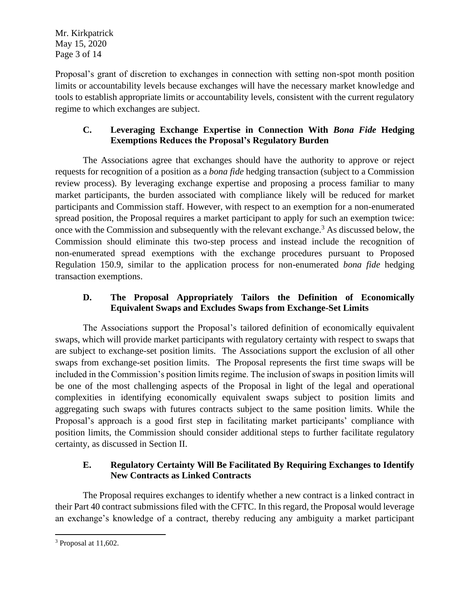Mr. Kirkpatrick May 15, 2020 Page 3 of 14

Proposal's grant of discretion to exchanges in connection with setting non-spot month position limits or accountability levels because exchanges will have the necessary market knowledge and tools to establish appropriate limits or accountability levels, consistent with the current regulatory regime to which exchanges are subject.

# **C. Leveraging Exchange Expertise in Connection With** *Bona Fide* **Hedging Exemptions Reduces the Proposal's Regulatory Burden**

The Associations agree that exchanges should have the authority to approve or reject requests for recognition of a position as a *bona fide* hedging transaction (subject to a Commission review process). By leveraging exchange expertise and proposing a process familiar to many market participants, the burden associated with compliance likely will be reduced for market participants and Commission staff. However, with respect to an exemption for a non-enumerated spread position, the Proposal requires a market participant to apply for such an exemption twice: once with the Commission and subsequently with the relevant exchange.<sup>3</sup> As discussed below, the Commission should eliminate this two-step process and instead include the recognition of non-enumerated spread exemptions with the exchange procedures pursuant to Proposed Regulation 150.9, similar to the application process for non-enumerated *bona fide* hedging transaction exemptions.

# **D. The Proposal Appropriately Tailors the Definition of Economically Equivalent Swaps and Excludes Swaps from Exchange-Set Limits**

The Associations support the Proposal's tailored definition of economically equivalent swaps, which will provide market participants with regulatory certainty with respect to swaps that are subject to exchange-set position limits. The Associations support the exclusion of all other swaps from exchange-set position limits. The Proposal represents the first time swaps will be included in the Commission's position limits regime. The inclusion of swaps in position limits will be one of the most challenging aspects of the Proposal in light of the legal and operational complexities in identifying economically equivalent swaps subject to position limits and aggregating such swaps with futures contracts subject to the same position limits. While the Proposal's approach is a good first step in facilitating market participants' compliance with position limits, the Commission should consider additional steps to further facilitate regulatory certainty, as discussed in Section II.

# **E. Regulatory Certainty Will Be Facilitated By Requiring Exchanges to Identify New Contracts as Linked Contracts**

The Proposal requires exchanges to identify whether a new contract is a linked contract in their Part 40 contract submissions filed with the CFTC. In this regard, the Proposal would leverage an exchange's knowledge of a contract, thereby reducing any ambiguity a market participant

<sup>3</sup> Proposal at 11,602.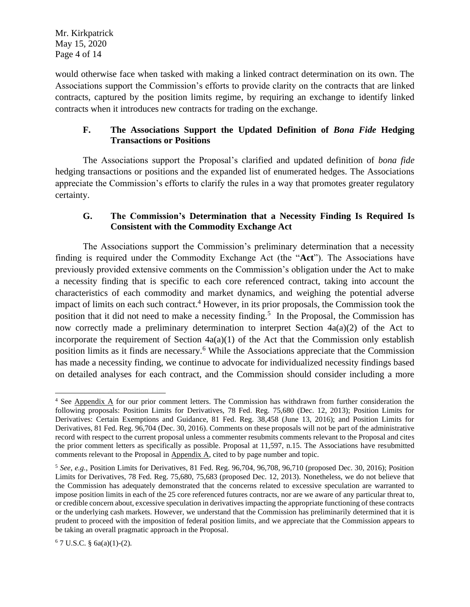would otherwise face when tasked with making a linked contract determination on its own. The Associations support the Commission's efforts to provide clarity on the contracts that are linked contracts, captured by the position limits regime, by requiring an exchange to identify linked contracts when it introduces new contracts for trading on the exchange.

# **F. The Associations Support the Updated Definition of** *Bona Fide* **Hedging Transactions or Positions**

The Associations support the Proposal's clarified and updated definition of *bona fide*  hedging transactions or positions and the expanded list of enumerated hedges. The Associations appreciate the Commission's efforts to clarify the rules in a way that promotes greater regulatory certainty.

## **G. The Commission's Determination that a Necessity Finding Is Required Is Consistent with the Commodity Exchange Act**

The Associations support the Commission's preliminary determination that a necessity finding is required under the Commodity Exchange Act (the "**Act**"). The Associations have previously provided extensive comments on the Commission's obligation under the Act to make a necessity finding that is specific to each core referenced contract, taking into account the characteristics of each commodity and market dynamics, and weighing the potential adverse impact of limits on each such contract.<sup>4</sup> However, in its prior proposals, the Commission took the position that it did not need to make a necessity finding.<sup>5</sup> In the Proposal, the Commission has now correctly made a preliminary determination to interpret Section 4a(a)(2) of the Act to incorporate the requirement of Section  $4a(a)(1)$  of the Act that the Commission only establish position limits as it finds are necessary.<sup>6</sup> While the Associations appreciate that the Commission has made a necessity finding, we continue to advocate for individualized necessity findings based on detailed analyses for each contract, and the Commission should consider including a more

<sup>4</sup> See Appendix A for our prior comment letters. The Commission has withdrawn from further consideration the following proposals: Position Limits for Derivatives, 78 Fed. Reg. 75,680 (Dec. 12, 2013); Position Limits for Derivatives: Certain Exemptions and Guidance, 81 Fed. Reg. 38,458 (June 13, 2016); and Position Limits for Derivatives, 81 Fed. Reg. 96,704 (Dec. 30, 2016). Comments on these proposals will not be part of the administrative record with respect to the current proposal unless a commenter resubmits comments relevant to the Proposal and cites the prior comment letters as specifically as possible. Proposal at 11,597, n.15. The Associations have resubmitted comments relevant to the Proposal in Appendix A, cited to by page number and topic.

<sup>5</sup> *See, e.g.*, Position Limits for Derivatives, 81 Fed. Reg. 96,704, 96,708, 96,710 (proposed Dec. 30, 2016); Position Limits for Derivatives, 78 Fed. Reg. 75,680, 75,683 (proposed Dec. 12, 2013). Nonetheless, we do not believe that the Commission has adequately demonstrated that the concerns related to excessive speculation are warranted to impose position limits in each of the 25 core referenced futures contracts, nor are we aware of any particular threat to, or credible concern about, excessive speculation in derivatives impacting the appropriate functioning of these contracts or the underlying cash markets. However, we understand that the Commission has preliminarily determined that it is prudent to proceed with the imposition of federal position limits, and we appreciate that the Commission appears to be taking an overall pragmatic approach in the Proposal.

 $6$  7 U.S.C. § 6a(a)(1)-(2).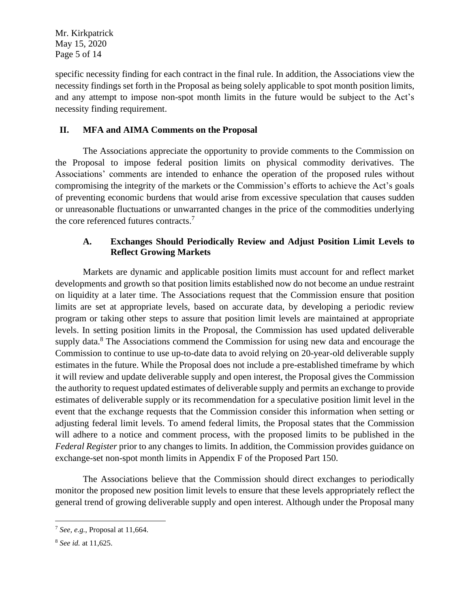Mr. Kirkpatrick May 15, 2020 Page 5 of 14

specific necessity finding for each contract in the final rule. In addition, the Associations view the necessity findings set forth in the Proposal as being solely applicable to spot month position limits, and any attempt to impose non-spot month limits in the future would be subject to the Act's necessity finding requirement.

## **II. MFA and AIMA Comments on the Proposal**

The Associations appreciate the opportunity to provide comments to the Commission on the Proposal to impose federal position limits on physical commodity derivatives. The Associations' comments are intended to enhance the operation of the proposed rules without compromising the integrity of the markets or the Commission's efforts to achieve the Act's goals of preventing economic burdens that would arise from excessive speculation that causes sudden or unreasonable fluctuations or unwarranted changes in the price of the commodities underlying the core referenced futures contracts.<sup>7</sup>

## **A. Exchanges Should Periodically Review and Adjust Position Limit Levels to Reflect Growing Markets**

Markets are dynamic and applicable position limits must account for and reflect market developments and growth so that position limits established now do not become an undue restraint on liquidity at a later time. The Associations request that the Commission ensure that position limits are set at appropriate levels, based on accurate data, by developing a periodic review program or taking other steps to assure that position limit levels are maintained at appropriate levels. In setting position limits in the Proposal, the Commission has used updated deliverable supply data.<sup>8</sup> The Associations commend the Commission for using new data and encourage the Commission to continue to use up-to-date data to avoid relying on 20-year-old deliverable supply estimates in the future. While the Proposal does not include a pre-established timeframe by which it will review and update deliverable supply and open interest, the Proposal gives the Commission the authority to request updated estimates of deliverable supply and permits an exchange to provide estimates of deliverable supply or its recommendation for a speculative position limit level in the event that the exchange requests that the Commission consider this information when setting or adjusting federal limit levels. To amend federal limits, the Proposal states that the Commission will adhere to a notice and comment process, with the proposed limits to be published in the *Federal Register* prior to any changes to limits. In addition, the Commission provides guidance on exchange-set non-spot month limits in Appendix F of the Proposed Part 150.

The Associations believe that the Commission should direct exchanges to periodically monitor the proposed new position limit levels to ensure that these levels appropriately reflect the general trend of growing deliverable supply and open interest. Although under the Proposal many

<sup>7</sup> *See, e.g.*, Proposal at 11,664.

<sup>8</sup> *See id.* at 11,625.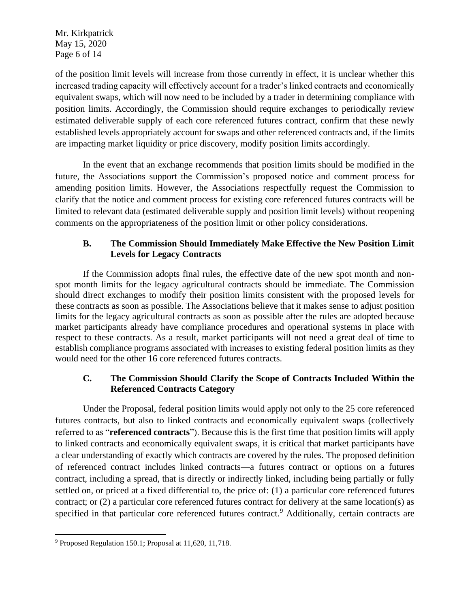Mr. Kirkpatrick May 15, 2020 Page 6 of 14

of the position limit levels will increase from those currently in effect, it is unclear whether this increased trading capacity will effectively account for a trader's linked contracts and economically equivalent swaps, which will now need to be included by a trader in determining compliance with position limits. Accordingly, the Commission should require exchanges to periodically review estimated deliverable supply of each core referenced futures contract, confirm that these newly established levels appropriately account for swaps and other referenced contracts and, if the limits are impacting market liquidity or price discovery, modify position limits accordingly.

In the event that an exchange recommends that position limits should be modified in the future, the Associations support the Commission's proposed notice and comment process for amending position limits. However, the Associations respectfully request the Commission to clarify that the notice and comment process for existing core referenced futures contracts will be limited to relevant data (estimated deliverable supply and position limit levels) without reopening comments on the appropriateness of the position limit or other policy considerations.

# **B. The Commission Should Immediately Make Effective the New Position Limit Levels for Legacy Contracts**

If the Commission adopts final rules, the effective date of the new spot month and nonspot month limits for the legacy agricultural contracts should be immediate. The Commission should direct exchanges to modify their position limits consistent with the proposed levels for these contracts as soon as possible. The Associations believe that it makes sense to adjust position limits for the legacy agricultural contracts as soon as possible after the rules are adopted because market participants already have compliance procedures and operational systems in place with respect to these contracts. As a result, market participants will not need a great deal of time to establish compliance programs associated with increases to existing federal position limits as they would need for the other 16 core referenced futures contracts.

## **C. The Commission Should Clarify the Scope of Contracts Included Within the Referenced Contracts Category**

Under the Proposal, federal position limits would apply not only to the 25 core referenced futures contracts, but also to linked contracts and economically equivalent swaps (collectively referred to as "**referenced contracts**"). Because this is the first time that position limits will apply to linked contracts and economically equivalent swaps, it is critical that market participants have a clear understanding of exactly which contracts are covered by the rules. The proposed definition of referenced contract includes linked contracts—a futures contract or options on a futures contract, including a spread, that is directly or indirectly linked, including being partially or fully settled on, or priced at a fixed differential to, the price of: (1) a particular core referenced futures contract; or (2) a particular core referenced futures contract for delivery at the same location(s) as specified in that particular core referenced futures contract.<sup>9</sup> Additionally, certain contracts are

<sup>9</sup> Proposed Regulation 150.1; Proposal at 11,620, 11,718.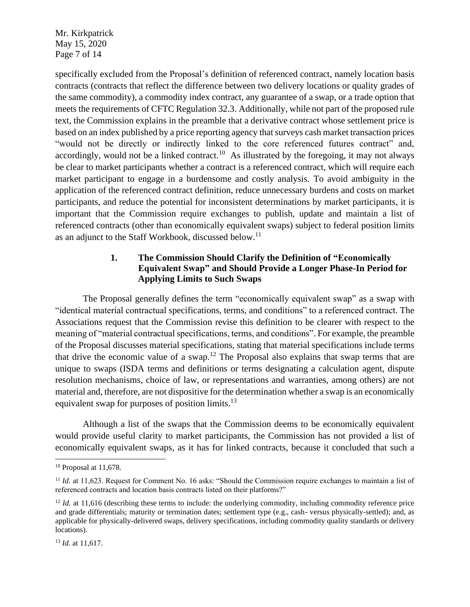Mr. Kirkpatrick May 15, 2020 Page 7 of 14

specifically excluded from the Proposal's definition of referenced contract, namely location basis contracts (contracts that reflect the difference between two delivery locations or quality grades of the same commodity), a commodity index contract, any guarantee of a swap, or a trade option that meets the requirements of CFTC Regulation 32.3. Additionally, while not part of the proposed rule text, the Commission explains in the preamble that a derivative contract whose settlement price is based on an index published by a price reporting agency that surveys cash market transaction prices "would not be directly or indirectly linked to the core referenced futures contract" and, accordingly, would not be a linked contract.<sup>10</sup> As illustrated by the foregoing, it may not always be clear to market participants whether a contract is a referenced contract, which will require each market participant to engage in a burdensome and costly analysis. To avoid ambiguity in the application of the referenced contract definition, reduce unnecessary burdens and costs on market participants, and reduce the potential for inconsistent determinations by market participants, it is important that the Commission require exchanges to publish, update and maintain a list of referenced contracts (other than economically equivalent swaps) subject to federal position limits as an adjunct to the Staff Workbook, discussed below.<sup>11</sup>

## **1. The Commission Should Clarify the Definition of "Economically Equivalent Swap" and Should Provide a Longer Phase-In Period for Applying Limits to Such Swaps**

The Proposal generally defines the term "economically equivalent swap" as a swap with "identical material contractual specifications, terms, and conditions" to a referenced contract. The Associations request that the Commission revise this definition to be clearer with respect to the meaning of "material contractual specifications, terms, and conditions". For example, the preamble of the Proposal discusses material specifications, stating that material specifications include terms that drive the economic value of a swap.<sup>12</sup> The Proposal also explains that swap terms that are unique to swaps (ISDA terms and definitions or terms designating a calculation agent, dispute resolution mechanisms, choice of law, or representations and warranties, among others) are not material and, therefore, are not dispositive for the determination whether a swap is an economically equivalent swap for purposes of position limits.<sup>13</sup>

Although a list of the swaps that the Commission deems to be economically equivalent would provide useful clarity to market participants, the Commission has not provided a list of economically equivalent swaps, as it has for linked contracts, because it concluded that such a

<sup>10</sup> Proposal at 11,678.

<sup>&</sup>lt;sup>11</sup> *Id.* at 11,623. Request for Comment No. 16 asks: "Should the Commission require exchanges to maintain a list of referenced contracts and location basis contracts listed on their platforms?"

<sup>&</sup>lt;sup>12</sup> *Id.* at 11,616 (describing these terms to include: the underlying commodity, including commodity reference price and grade differentials; maturity or termination dates; settlement type (e.g., cash- versus physically-settled); and, as applicable for physically-delivered swaps, delivery specifications, including commodity quality standards or delivery locations).

<sup>13</sup> *Id.* at 11,617.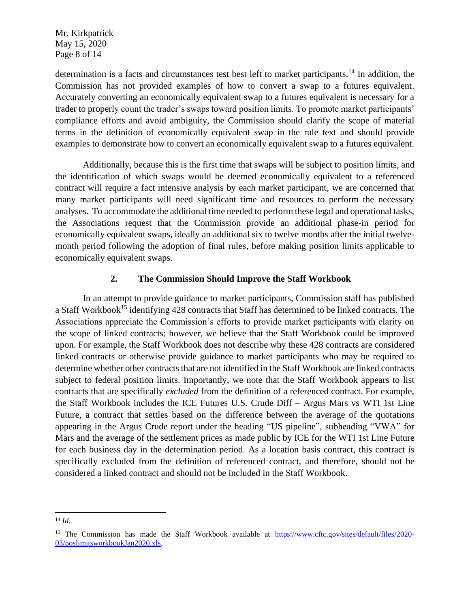Mr. Kirkpatrick May 15, 2020 Page 8 of 14

determination is a facts and circumstances test best left to market participants.<sup>14</sup> In addition, the Commission has not provided examples of how to convert a swap to a futures equivalent. Accurately converting an economically equivalent swap to a futures equivalent is necessary for a trader to properly count the trader's swaps toward position limits. To promote market participants' compliance efforts and avoid ambiguity, the Commission should clarify the scope of material terms in the definition of economically equivalent swap in the rule text and should provide examples to demonstrate how to convert an economically equivalent swap to a futures equivalent.

Additionally, because this is the first time that swaps will be subject to position limits, and the identification of which swaps would be deemed economically equivalent to a referenced contract will require a fact intensive analysis by each market participant, we are concerned that many market participants will need significant time and resources to perform the necessary analyses. To accommodate the additional time needed to perform these legal and operational tasks, the Associations request that the Commission provide an additional phase-in period for economically equivalent swaps, ideally an additional six to twelve months after the initial twelvemonth period following the adoption of final rules, before making position limits applicable to economically equivalent swaps.

#### **2. The Commission Should Improve the Staff Workbook**

In an attempt to provide guidance to market participants, Commission staff has published a Staff Workbook<sup>15</sup> identifying 428 contracts that Staff has determined to be linked contracts. The Associations appreciate the Commission's efforts to provide market participants with clarity on the scope of linked contracts; however, we believe that the Staff Workbook could be improved upon. For example, the Staff Workbook does not describe why these 428 contracts are considered linked contracts or otherwise provide guidance to market participants who may be required to determine whether other contracts that are not identified in the Staff Workbook are linked contracts subject to federal position limits. Importantly, we note that the Staff Workbook appears to list contracts that are specifically *excluded* from the definition of a referenced contract. For example, the Staff Workbook includes the ICE Futures U.S. Crude Diff – Argus Mars vs WTI 1st Line Future, a contract that settles based on the difference between the average of the quotations appearing in the Argus Crude report under the heading "US pipeline", subheading "VWA" for Mars and the average of the settlement prices as made public by ICE for the WTI 1st Line Future for each business day in the determination period. As a location basis contract, this contract is specifically excluded from the definition of referenced contract, and therefore, should not be considered a linked contract and should not be included in the Staff Workbook.

<sup>14</sup> *Id.*

<sup>&</sup>lt;sup>15</sup> The Commission has made the Staff Workbook available at [https://www.cftc.gov/sites/default/files/2020-](https://www.cftc.gov/sites/default/files/2020-03/poslimitsworkbookJan2020.xls) [03/poslimitsworkbookJan2020.xls.](https://www.cftc.gov/sites/default/files/2020-03/poslimitsworkbookJan2020.xls)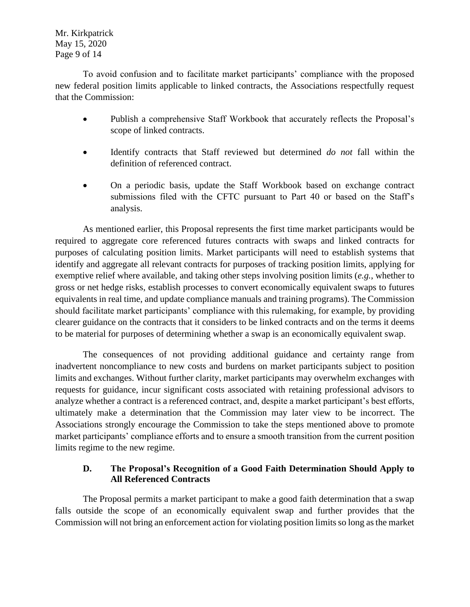Mr. Kirkpatrick May 15, 2020 Page 9 of 14

To avoid confusion and to facilitate market participants' compliance with the proposed new federal position limits applicable to linked contracts, the Associations respectfully request that the Commission:

- Publish a comprehensive Staff Workbook that accurately reflects the Proposal's scope of linked contracts.
- Identify contracts that Staff reviewed but determined *do not* fall within the definition of referenced contract.
- On a periodic basis, update the Staff Workbook based on exchange contract submissions filed with the CFTC pursuant to Part 40 or based on the Staff's analysis.

As mentioned earlier, this Proposal represents the first time market participants would be required to aggregate core referenced futures contracts with swaps and linked contracts for purposes of calculating position limits. Market participants will need to establish systems that identify and aggregate all relevant contracts for purposes of tracking position limits, applying for exemptive relief where available, and taking other steps involving position limits (*e.g.*, whether to gross or net hedge risks, establish processes to convert economically equivalent swaps to futures equivalents in real time, and update compliance manuals and training programs). The Commission should facilitate market participants' compliance with this rulemaking, for example, by providing clearer guidance on the contracts that it considers to be linked contracts and on the terms it deems to be material for purposes of determining whether a swap is an economically equivalent swap.

The consequences of not providing additional guidance and certainty range from inadvertent noncompliance to new costs and burdens on market participants subject to position limits and exchanges. Without further clarity, market participants may overwhelm exchanges with requests for guidance, incur significant costs associated with retaining professional advisors to analyze whether a contract is a referenced contract, and, despite a market participant's best efforts, ultimately make a determination that the Commission may later view to be incorrect. The Associations strongly encourage the Commission to take the steps mentioned above to promote market participants' compliance efforts and to ensure a smooth transition from the current position limits regime to the new regime.

#### **D. The Proposal's Recognition of a Good Faith Determination Should Apply to All Referenced Contracts**

The Proposal permits a market participant to make a good faith determination that a swap falls outside the scope of an economically equivalent swap and further provides that the Commission will not bring an enforcement action for violating position limits so long as the market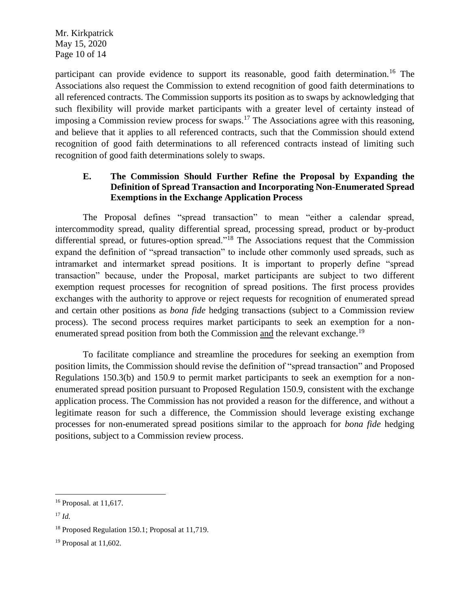Mr. Kirkpatrick May 15, 2020 Page 10 of 14

participant can provide evidence to support its reasonable, good faith determination.<sup>16</sup> The Associations also request the Commission to extend recognition of good faith determinations to all referenced contracts. The Commission supports its position as to swaps by acknowledging that such flexibility will provide market participants with a greater level of certainty instead of imposing a Commission review process for swaps.<sup>17</sup> The Associations agree with this reasoning, and believe that it applies to all referenced contracts, such that the Commission should extend recognition of good faith determinations to all referenced contracts instead of limiting such recognition of good faith determinations solely to swaps.

# **E. The Commission Should Further Refine the Proposal by Expanding the Definition of Spread Transaction and Incorporating Non-Enumerated Spread Exemptions in the Exchange Application Process**

The Proposal defines "spread transaction" to mean "either a calendar spread, intercommodity spread, quality differential spread, processing spread, product or by-product differential spread, or futures-option spread."<sup>18</sup> The Associations request that the Commission expand the definition of "spread transaction" to include other commonly used spreads, such as intramarket and intermarket spread positions. It is important to properly define "spread transaction" because, under the Proposal, market participants are subject to two different exemption request processes for recognition of spread positions. The first process provides exchanges with the authority to approve or reject requests for recognition of enumerated spread and certain other positions as *bona fide* hedging transactions (subject to a Commission review process). The second process requires market participants to seek an exemption for a nonenumerated spread position from both the Commission and the relevant exchange.<sup>19</sup>

To facilitate compliance and streamline the procedures for seeking an exemption from position limits, the Commission should revise the definition of "spread transaction" and Proposed Regulations 150.3(b) and 150.9 to permit market participants to seek an exemption for a nonenumerated spread position pursuant to Proposed Regulation 150.9, consistent with the exchange application process. The Commission has not provided a reason for the difference, and without a legitimate reason for such a difference, the Commission should leverage existing exchange processes for non-enumerated spread positions similar to the approach for *bona fide* hedging positions, subject to a Commission review process.

<sup>16</sup> Proposal*.* at 11,617.

<sup>17</sup> *Id.*

<sup>18</sup> Proposed Regulation 150.1; Proposal at 11,719.

<sup>19</sup> Proposal at 11,602.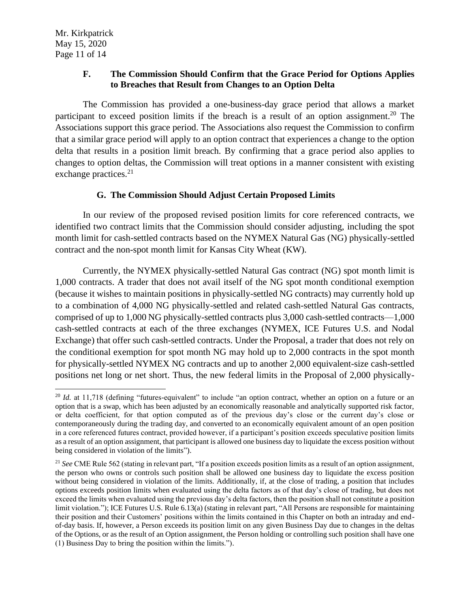#### **F. The Commission Should Confirm that the Grace Period for Options Applies to Breaches that Result from Changes to an Option Delta**

The Commission has provided a one-business-day grace period that allows a market participant to exceed position limits if the breach is a result of an option assignment.<sup>20</sup> The Associations support this grace period. The Associations also request the Commission to confirm that a similar grace period will apply to an option contract that experiences a change to the option delta that results in a position limit breach. By confirming that a grace period also applies to changes to option deltas, the Commission will treat options in a manner consistent with existing exchange practices.<sup>21</sup>

## **G. The Commission Should Adjust Certain Proposed Limits**

In our review of the proposed revised position limits for core referenced contracts, we identified two contract limits that the Commission should consider adjusting, including the spot month limit for cash-settled contracts based on the NYMEX Natural Gas (NG) physically-settled contract and the non-spot month limit for Kansas City Wheat (KW).

Currently, the NYMEX physically-settled Natural Gas contract (NG) spot month limit is 1,000 contracts. A trader that does not avail itself of the NG spot month conditional exemption (because it wishes to maintain positions in physically-settled NG contracts) may currently hold up to a combination of 4,000 NG physically-settled and related cash-settled Natural Gas contracts, comprised of up to 1,000 NG physically-settled contracts plus 3,000 cash-settled contracts—1,000 cash-settled contracts at each of the three exchanges (NYMEX, ICE Futures U.S. and Nodal Exchange) that offer such cash-settled contracts. Under the Proposal, a trader that does not rely on the conditional exemption for spot month NG may hold up to 2,000 contracts in the spot month for physically-settled NYMEX NG contracts and up to another 2,000 equivalent-size cash-settled positions net long or net short. Thus, the new federal limits in the Proposal of 2,000 physically-

<sup>&</sup>lt;sup>20</sup> *Id.* at 11,718 (defining "futures-equivalent" to include "an option contract, whether an option on a future or an option that is a swap, which has been adjusted by an economically reasonable and analytically supported risk factor, or delta coefficient, for that option computed as of the previous day's close or the current day's close or contemporaneously during the trading day, and converted to an economically equivalent amount of an open position in a core referenced futures contract, provided however, if a participant's position exceeds speculative position limits as a result of an option assignment, that participant is allowed one business day to liquidate the excess position without being considered in violation of the limits").

<sup>&</sup>lt;sup>21</sup> See CME Rule 562 (stating in relevant part, "If a position exceeds position limits as a result of an option assignment, the person who owns or controls such position shall be allowed one business day to liquidate the excess position without being considered in violation of the limits. Additionally, if, at the close of trading, a position that includes options exceeds position limits when evaluated using the delta factors as of that day's close of trading, but does not exceed the limits when evaluated using the previous day's delta factors, then the position shall not constitute a position limit violation."); ICE Futures U.S. Rule 6.13(a) (stating in relevant part, "All Persons are responsible for maintaining their position and their Customers' positions within the limits contained in this Chapter on both an intraday and endof-day basis. If, however, a Person exceeds its position limit on any given Business Day due to changes in the deltas of the Options, or as the result of an Option assignment, the Person holding or controlling such position shall have one (1) Business Day to bring the position within the limits.").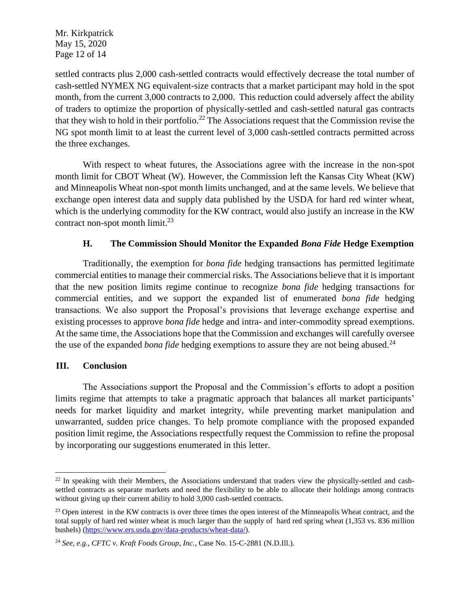Mr. Kirkpatrick May 15, 2020 Page 12 of 14

settled contracts plus 2,000 cash-settled contracts would effectively decrease the total number of cash-settled NYMEX NG equivalent-size contracts that a market participant may hold in the spot month, from the current 3,000 contracts to 2,000. This reduction could adversely affect the ability of traders to optimize the proportion of physically-settled and cash-settled natural gas contracts that they wish to hold in their portfolio.<sup>22</sup> The Associations request that the Commission revise the NG spot month limit to at least the current level of 3,000 cash-settled contracts permitted across the three exchanges.

With respect to wheat futures, the Associations agree with the increase in the non-spot month limit for CBOT Wheat (W). However, the Commission left the Kansas City Wheat (KW) and Minneapolis Wheat non-spot month limits unchanged, and at the same levels. We believe that exchange open interest data and supply data published by the USDA for hard red winter wheat, which is the underlying commodity for the KW contract, would also justify an increase in the KW contract non-spot month limit. $^{23}$ 

#### **H. The Commission Should Monitor the Expanded** *Bona Fide* **Hedge Exemption**

Traditionally, the exemption for *bona fide* hedging transactions has permitted legitimate commercial entities to manage their commercial risks. The Associations believe that it is important that the new position limits regime continue to recognize *bona fide* hedging transactions for commercial entities, and we support the expanded list of enumerated *bona fide* hedging transactions. We also support the Proposal's provisions that leverage exchange expertise and existing processes to approve *bona fide* hedge and intra- and inter-commodity spread exemptions. At the same time, the Associations hope that the Commission and exchanges will carefully oversee the use of the expanded *bona fide* hedging exemptions to assure they are not being abused. 24

#### **III. Conclusion**

The Associations support the Proposal and the Commission's efforts to adopt a position limits regime that attempts to take a pragmatic approach that balances all market participants' needs for market liquidity and market integrity, while preventing market manipulation and unwarranted, sudden price changes. To help promote compliance with the proposed expanded position limit regime, the Associations respectfully request the Commission to refine the proposal by incorporating our suggestions enumerated in this letter.

 $^{22}$  In speaking with their Members, the Associations understand that traders view the physically-settled and cashsettled contracts as separate markets and need the flexibility to be able to allocate their holdings among contracts without giving up their current ability to hold 3,000 cash-settled contracts.

 $23$  Open interest in the KW contracts is over three times the open interest of the Minneapolis Wheat contract, and the total supply of hard red winter wheat is much larger than the supply of hard red spring wheat (1,353 vs. 836 million bushels) [\(https://www.ers.usda.gov/data-products/wheat-data/\)](https://www.ers.usda.gov/data-products/wheat-data/).

<sup>24</sup> *See, e.g.*, *CFTC v. Kraft Foods Group, Inc.*, Case No. 15-C-2881 (N.D.Ill.).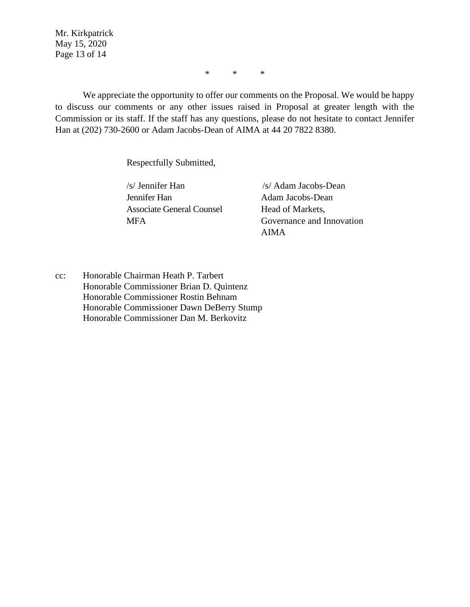Mr. Kirkpatrick May 15, 2020 Page 13 of 14

\* \* \*

We appreciate the opportunity to offer our comments on the Proposal. We would be happy to discuss our comments or any other issues raised in Proposal at greater length with the Commission or its staff. If the staff has any questions, please do not hesitate to contact Jennifer Han at (202) 730-2600 or Adam Jacobs-Dean of AIMA at 44 20 7822 8380.

Respectfully Submitted,

Jennifer Han Associate General Counsel **MFA** 

/s/ Jennifer Han /s/ Adam Jacobs-Dean Adam Jacobs-Dean Head of Markets, Governance and Innovation AIMA

cc: Honorable Chairman Heath P. Tarbert Honorable Commissioner Brian D. Quintenz Honorable Commissioner Rostin Behnam Honorable Commissioner Dawn DeBerry Stump Honorable Commissioner Dan M. Berkovitz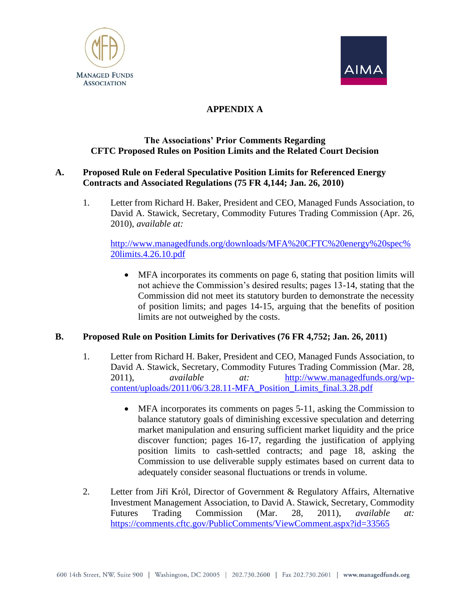



# **APPENDIX A**

#### **The Associations' Prior Comments Regarding CFTC Proposed Rules on Position Limits and the Related Court Decision**

#### **A. Proposed Rule on Federal Speculative Position Limits for Referenced Energy Contracts and Associated Regulations (75 FR 4,144; Jan. 26, 2010)**

1. Letter from Richard H. Baker, President and CEO, Managed Funds Association, to David A. Stawick, Secretary, Commodity Futures Trading Commission (Apr. 26, 2010), *available at:*

[http://www.managedfunds.org/downloads/MFA%20CFTC%20energy%20spec%](http://www.managedfunds.org/downloads/MFA%20CFTC%20energy%20spec%20limits.4.26.10.pdf) [20limits.4.26.10.pdf](http://www.managedfunds.org/downloads/MFA%20CFTC%20energy%20spec%20limits.4.26.10.pdf)

• MFA incorporates its comments on page 6, stating that position limits will not achieve the Commission's desired results; pages 13-14, stating that the Commission did not meet its statutory burden to demonstrate the necessity of position limits; and pages 14-15, arguing that the benefits of position limits are not outweighed by the costs.

#### **B. Proposed Rule on Position Limits for Derivatives (76 FR 4,752; Jan. 26, 2011)**

- 1. Letter from Richard H. Baker, President and CEO, Managed Funds Association, to David A. Stawick, Secretary, Commodity Futures Trading Commission (Mar. 28, 2011), *available at:* [http://www.managedfunds.org/wp](http://www.managedfunds.org/wp-content/uploads/2011/06/3.28.11-MFA_Position_Limits_final.3.28.pdf)[content/uploads/2011/06/3.28.11-MFA\\_Position\\_Limits\\_final.3.28.pdf](http://www.managedfunds.org/wp-content/uploads/2011/06/3.28.11-MFA_Position_Limits_final.3.28.pdf)
	- MFA incorporates its comments on pages 5-11, asking the Commission to balance statutory goals of diminishing excessive speculation and deterring market manipulation and ensuring sufficient market liquidity and the price discover function; pages 16-17, regarding the justification of applying position limits to cash-settled contracts; and page 18, asking the Commission to use deliverable supply estimates based on current data to adequately consider seasonal fluctuations or trends in volume.
- 2. Letter from Jiří Król, Director of Government & Regulatory Affairs, Alternative Investment Management Association, to David A. Stawick, Secretary, Commodity Futures Trading Commission (Mar. 28, 2011), *available at:* <https://comments.cftc.gov/PublicComments/ViewComment.aspx?id=33565>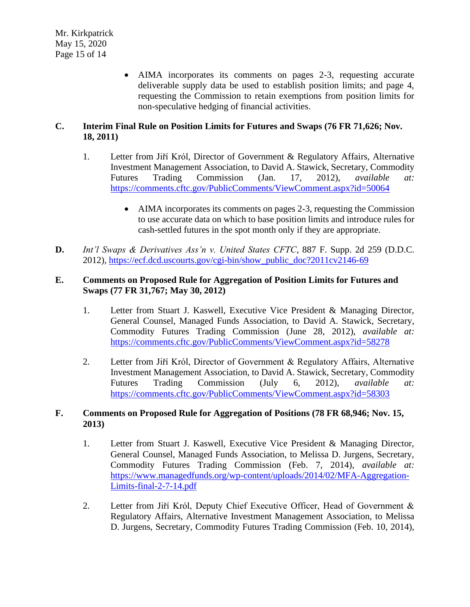• AIMA incorporates its comments on pages 2-3, requesting accurate deliverable supply data be used to establish position limits; and page 4, requesting the Commission to retain exemptions from position limits for non-speculative hedging of financial activities.

# **C. Interim Final Rule on Position Limits for Futures and Swaps (76 FR 71,626; Nov. 18, 2011)**

- 1. Letter from Jiří Król, Director of Government & Regulatory Affairs, Alternative Investment Management Association, to David A. Stawick, Secretary, Commodity Futures Trading Commission (Jan. 17, 2012), *available at:* <https://comments.cftc.gov/PublicComments/ViewComment.aspx?id=50064>
	- AIMA incorporates its comments on pages 2-3, requesting the Commission to use accurate data on which to base position limits and introduce rules for cash-settled futures in the spot month only if they are appropriate.
- **D.** *Int'l Swaps & Derivatives Ass'n v. United States CFTC*, 887 F. Supp. 2d 259 (D.D.C. 2012), [https://ecf.dcd.uscourts.gov/cgi-bin/show\\_public\\_doc?2011cv2146-69](https://ecf.dcd.uscourts.gov/cgi-bin/show_public_doc?2011cv2146-69)

#### **E. Comments on Proposed Rule for Aggregation of Position Limits for Futures and Swaps (77 FR 31,767; May 30, 2012)**

- 1. Letter from Stuart J. Kaswell, Executive Vice President & Managing Director, General Counsel, Managed Funds Association, to David A. Stawick, Secretary, Commodity Futures Trading Commission (June 28, 2012), *available at:* <https://comments.cftc.gov/PublicComments/ViewComment.aspx?id=58278>
- 2. Letter from Jiří Król, Director of Government & Regulatory Affairs, Alternative Investment Management Association, to David A. Stawick, Secretary, Commodity Futures Trading Commission (July 6, 2012), *available at:* <https://comments.cftc.gov/PublicComments/ViewComment.aspx?id=58303>

## **F. Comments on Proposed Rule for Aggregation of Positions (78 FR 68,946; Nov. 15, 2013)**

- 1. Letter from Stuart J. Kaswell, Executive Vice President & Managing Director, General Counsel, Managed Funds Association, to Melissa D. Jurgens, Secretary, Commodity Futures Trading Commission (Feb. 7, 2014), *available at:* [https://www.managedfunds.org/wp-content/uploads/2014/02/MFA-Aggregation-](https://www.managedfunds.org/wp-content/uploads/2014/02/MFA-Aggregation-Limits-final-2-7-14.pdf)[Limits-final-2-7-14.pdf](https://www.managedfunds.org/wp-content/uploads/2014/02/MFA-Aggregation-Limits-final-2-7-14.pdf)
- 2. Letter from Jiří Król, Deputy Chief Executive Officer, Head of Government & Regulatory Affairs, Alternative Investment Management Association, to Melissa D. Jurgens, Secretary, Commodity Futures Trading Commission (Feb. 10, 2014),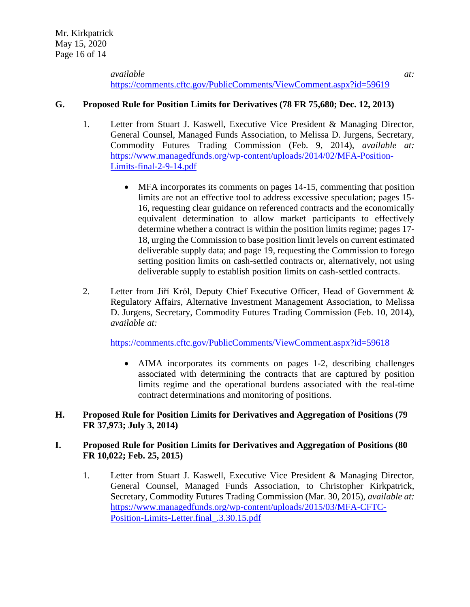*available at:* <https://comments.cftc.gov/PublicComments/ViewComment.aspx?id=59619>

#### **G. Proposed Rule for Position Limits for Derivatives (78 FR 75,680; Dec. 12, 2013)**

- 1. Letter from Stuart J. Kaswell, Executive Vice President & Managing Director, General Counsel, Managed Funds Association, to Melissa D. Jurgens, Secretary, Commodity Futures Trading Commission (Feb. 9, 2014), *available at:* [https://www.managedfunds.org/wp-content/uploads/2014/02/MFA-Position-](https://www.managedfunds.org/wp-content/uploads/2014/02/MFA-Position-Limits-final-2-9-14.pdf)[Limits-final-2-9-14.pdf](https://www.managedfunds.org/wp-content/uploads/2014/02/MFA-Position-Limits-final-2-9-14.pdf)
	- MFA incorporates its comments on pages 14-15, commenting that position limits are not an effective tool to address excessive speculation; pages 15- 16, requesting clear guidance on referenced contracts and the economically equivalent determination to allow market participants to effectively determine whether a contract is within the position limits regime; pages 17- 18, urging the Commission to base position limit levels on current estimated deliverable supply data; and page 19, requesting the Commission to forego setting position limits on cash-settled contracts or, alternatively, not using deliverable supply to establish position limits on cash-settled contracts.
- 2. Letter from Jiří Król, Deputy Chief Executive Officer, Head of Government & Regulatory Affairs, Alternative Investment Management Association, to Melissa D. Jurgens, Secretary, Commodity Futures Trading Commission (Feb. 10, 2014), *available at:*

<https://comments.cftc.gov/PublicComments/ViewComment.aspx?id=59618>

• AIMA incorporates its comments on pages 1-2, describing challenges associated with determining the contracts that are captured by position limits regime and the operational burdens associated with the real-time contract determinations and monitoring of positions.

#### **H. Proposed Rule for Position Limits for Derivatives and Aggregation of Positions (79 FR 37,973; July 3, 2014)**

#### **I. Proposed Rule for Position Limits for Derivatives and Aggregation of Positions (80 FR 10,022; Feb. 25, 2015)**

1. Letter from Stuart J. Kaswell, Executive Vice President & Managing Director, General Counsel, Managed Funds Association, to Christopher Kirkpatrick, Secretary, Commodity Futures Trading Commission (Mar. 30, 2015), *available at:* [https://www.managedfunds.org/wp-content/uploads/2015/03/MFA-CFTC-](https://www.managedfunds.org/wp-content/uploads/2015/03/MFA-CFTC-Position-Limits-Letter.final_.3.30.15.pdf)[Position-Limits-Letter.final\\_.3.30.15.pdf](https://www.managedfunds.org/wp-content/uploads/2015/03/MFA-CFTC-Position-Limits-Letter.final_.3.30.15.pdf)